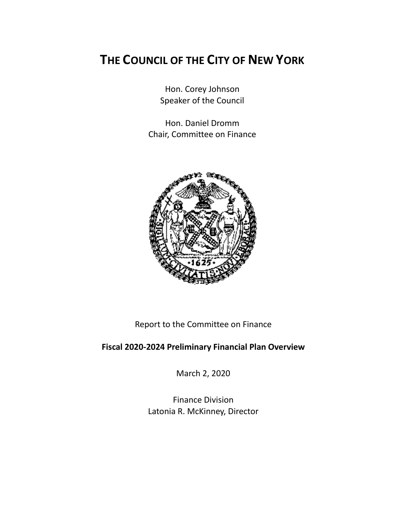# **THE COUNCIL OF THE CITY OF NEW YORK**

Hon. Corey Johnson Speaker of the Council

Hon. Daniel Dromm Chair, Committee on Finance



Report to the Committee on Finance

# **Fiscal 2020-2024 Preliminary Financial Plan Overview**

March 2, 2020

Finance Division Latonia R. McKinney, Director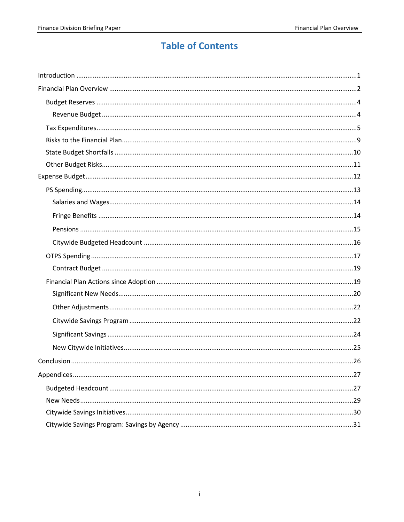# **Table of Contents**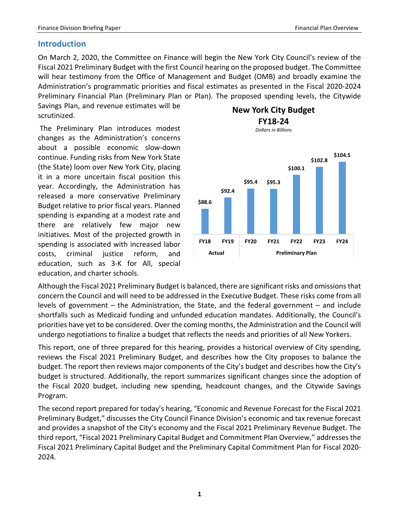# <span id="page-2-0"></span>**Introduction**

On March 2, 2020, the Committee on Finance will begin the New York City Council's review of the Fiscal 2021 Preliminary Budget with the first Council hearing on the proposed budget. The Committee will hear testimony from the Office of Management and Budget (OMB) and broadly examine the Administration's programmatic priorities and fiscal estimates as presented in the Fiscal 2020-2024 Preliminary Financial Plan (Preliminary Plan or Plan). The proposed spending levels, the Citywide

Savings Plan, and revenue estimates will be scrutinized.

The Preliminary Plan introduces modest changes as the Administration's concerns about a possible economic slow-down continue. Funding risks from New York State (the State) loom over New York City, placing it in a more uncertain fiscal position this year. Accordingly, the Administration has released a more conservative Preliminary Budget relative to prior fiscal years. Planned spending is expanding at a modest rate and there are relatively few major new initiatives. Most of the projected growth in spending is associated with increased labor costs, criminal justice reform, and education, such as 3-K for All, special education, and charter schools.



*Dollars in Billions*



Although the Fiscal 2021 Preliminary Budget is balanced, there are significant risks and omissions that concern the Council and will need to be addressed in the Executive Budget. These risks come from all levels of government – the Administration, the State, and the federal government – and include shortfalls such as Medicaid funding and unfunded education mandates. Additionally, the Council's priorities have yet to be considered. Over the coming months, the Administration and the Council will undergo negotiations to finalize a budget that reflects the needs and priorities of all New Yorkers.

This report, one of three prepared for this hearing, provides a historical overview of City spending, reviews the Fiscal 2021 Preliminary Budget, and describes how the City proposes to balance the budget. The report then reviews major components of the City's budget and describes how the City's budget is structured. Additionally, the report summarizes significant changes since the adoption of the Fiscal 2020 budget, including new spending, headcount changes, and the Citywide Savings Program.

The second report prepared for today's hearing, "Economic and Revenue Forecast for the Fiscal 2021 Preliminary Budget," discusses the City Council Finance Division's economic and tax revenue forecast and provides a snapshot of the City's economy and the Fiscal 2021 Preliminary Revenue Budget. The third report, "Fiscal 2021 Preliminary Capital Budget and Commitment Plan Overview," addresses the Fiscal 2021 Preliminary Capital Budget and the Preliminary Capital Commitment Plan for Fiscal 2020- 2024.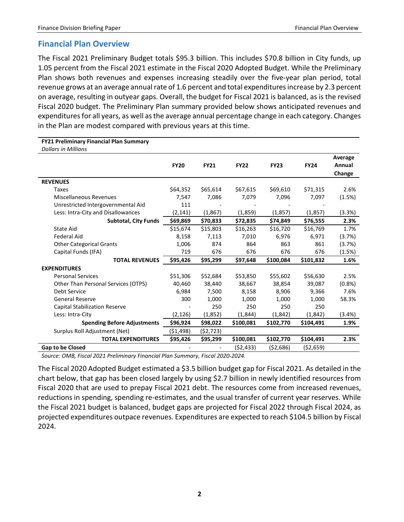# <span id="page-3-0"></span>**Financial Plan Overview**

The Fiscal 2021 Preliminary Budget totals \$95.3 billion. This includes \$70.8 billion in City funds, up 1.05 percent from the Fiscal 2021 estimate in the Fiscal 2020 Adopted Budget. While the Preliminary Plan shows both revenues and expenses increasing steadily over the five-year plan period, total revenue grows at an average annual rate of 1.6 percent and total expenditures increase by 2.3 percent on average, resulting in outyear gaps. Overall, the budget for Fiscal 2021 is balanced, as is the revised Fiscal 2020 budget. The Preliminary Plan summary provided below shows anticipated revenues and expenditures for all years, as well as the average annual percentage change in each category. Changes in the Plan are modest compared with previous years at this time.

| <b>FY21 Preliminary Financial Plan Summary</b> |             |             |             |             |             |                             |
|------------------------------------------------|-------------|-------------|-------------|-------------|-------------|-----------------------------|
| <b>Dollars in Millions</b>                     |             |             |             |             |             |                             |
|                                                | <b>FY20</b> | <b>FY21</b> | <b>FY22</b> | <b>FY23</b> | <b>FY24</b> | Average<br>Annual<br>Change |
| <b>REVENUES</b>                                |             |             |             |             |             |                             |
| Taxes                                          | \$64,352    | \$65,614    | \$67,615    | \$69,610    | \$71,315    | 2.6%                        |
| <b>Miscellaneous Revenues</b>                  | 7,547       | 7,086       | 7,079       | 7,096       | 7,097       | (1.5%)                      |
| Unrestricted Intergovernmental Aid             | 111         |             |             |             |             |                             |
| Less: Intra-City and Disallowances             | (2, 141)    | (1, 867)    | (1,859)     | (1, 857)    | (1, 857)    | (3.3%)                      |
| <b>Subtotal, City Funds</b>                    | \$69,869    | \$70,833    | \$72,835    | \$74,849    | \$76,555    | 2.3%                        |
| <b>State Aid</b>                               | \$15,674    | \$15,803    | \$16,263    | \$16,720    | \$16,769    | 1.7%                        |
| <b>Federal Aid</b>                             | 8,158       | 7,113       | 7,010       | 6,976       | 6,971       | (3.7%)                      |
| <b>Other Categorical Grants</b>                | 1,006       | 874         | 864         | 863         | 861         | (3.7%)                      |
| Capital Funds (IFA)                            | 719         | 676         | 676         | 676         | 676         | (1.5%)                      |
| <b>TOTAL REVENUES</b>                          | \$95,426    | \$95,299    | \$97,648    | \$100,084   | \$101,832   | 1.6%                        |
| <b>EXPENDITURES</b>                            |             |             |             |             |             |                             |
| <b>Personal Services</b>                       | \$51,306    | \$52,684    | \$53,850    | \$55,602    | \$56,630    | 2.5%                        |
| Other Than Personal Services (OTPS)            | 40,460      | 38,440      | 38,667      | 38,854      | 39,087      | (0.8% )                     |
| Debt Service                                   | 6,984       | 7,500       | 8,158       | 8,906       | 9,366       | 7.6%                        |
| <b>General Reserve</b>                         | 300         | 1,000       | 1,000       | 1,000       | 1,000       | 58.3%                       |
| Capital Stabilization Reserve                  |             | 250         | 250         | 250         | 250         |                             |
| Less: Intra-City                               | (2, 126)    | (1,852)     | (1,844)     | (1,842)     | (1,842)     | (3.4%)                      |
| <b>Spending Before Adjustments</b>             | \$96,924    | \$98,022    | \$100,081   | \$102,770   | \$104,491   | 1.9%                        |
| Surplus Roll Adjustment (Net)                  | ( \$1,498)  | (52, 723)   |             |             |             |                             |
| <b>TOTAL EXPENDITURES</b>                      | \$95,426    | \$95,299    | \$100,081   | \$102,770   | \$104,491   | 2.3%                        |
| <b>Gap to be Closed</b>                        |             |             | (\$2,433)   | (\$2,686)   | (\$2,659)   |                             |

*Source: OMB, Fiscal 2021 Preliminary Financial Plan Summary, Fiscal 2020-2024.*

The Fiscal 2020 Adopted Budget estimated a \$3.5 billion budget gap for Fiscal 2021. As detailed in the chart below, that gap has been closed largely by using \$2.7 billion in newly identified resources from Fiscal 2020 that are used to prepay Fiscal 2021 debt. The resources come from increased revenues, reductions in spending, spending re-estimates, and the usual transfer of current year reserves. While the Fiscal 2021 budget is balanced, budget gaps are projected for Fiscal 2022 through Fiscal 2024, as projected expenditures outpace revenues. Expenditures are expected to reach \$104.5 billion by Fiscal 2024.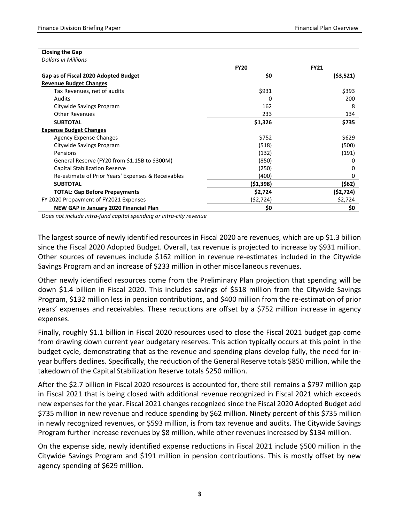| <b>Closing the Gap</b>     |  |
|----------------------------|--|
| <b>Dollars in Millions</b> |  |

|                                                    | <b>FY20</b> | <b>FY21</b> |
|----------------------------------------------------|-------------|-------------|
| Gap as of Fiscal 2020 Adopted Budget               | \$0         | ( \$3,521)  |
| <b>Revenue Budget Changes</b>                      |             |             |
| Tax Revenues, net of audits                        | \$931       | \$393       |
| <b>Audits</b>                                      | 0           | 200         |
| Citywide Savings Program                           | 162         | 8           |
| <b>Other Revenues</b>                              | 233         | 134         |
| <b>SUBTOTAL</b>                                    | \$1,326     | \$735       |
| <b>Expense Budget Changes</b>                      |             |             |
| <b>Agency Expense Changes</b>                      | \$752       | \$629       |
| Citywide Savings Program                           | (518)       | (500)       |
| Pensions                                           | (132)       | (191)       |
| General Reserve (FY20 from \$1.15B to \$300M)      | (850)       | O           |
| <b>Capital Stabilization Reserve</b>               | (250)       | O           |
| Re-estimate of Prior Years' Expenses & Receivables | (400)       | 0           |
| <b>SUBTOTAL</b>                                    | (51, 398)   | (\$62)      |
| <b>TOTAL: Gap Before Prepayments</b>               | \$2,724     | (52, 724)   |
| FY 2020 Prepayment of FY2021 Expenses              | (52, 724)   | \$2,724     |
| NEW GAP in January 2020 Financial Plan             | \$0         | \$0         |

*Does not include intra-fund capital spending or intra-city revenue*

The largest source of newly identified resources in Fiscal 2020 are revenues, which are up \$1.3 billion since the Fiscal 2020 Adopted Budget. Overall, tax revenue is projected to increase by \$931 million. Other sources of revenues include \$162 million in revenue re-estimates included in the Citywide Savings Program and an increase of \$233 million in other miscellaneous revenues.

Other newly identified resources come from the Preliminary Plan projection that spending will be down \$1.4 billion in Fiscal 2020. This includes savings of \$518 million from the Citywide Savings Program, \$132 million less in pension contributions, and \$400 million from the re-estimation of prior years' expenses and receivables. These reductions are offset by a \$752 million increase in agency expenses.

Finally, roughly \$1.1 billion in Fiscal 2020 resources used to close the Fiscal 2021 budget gap come from drawing down current year budgetary reserves. This action typically occurs at this point in the budget cycle, demonstrating that as the revenue and spending plans develop fully, the need for inyear buffers declines. Specifically, the reduction of the General Reserve totals \$850 million, while the takedown of the Capital Stabilization Reserve totals \$250 million.

After the \$2.7 billion in Fiscal 2020 resources is accounted for, there still remains a \$797 million gap in Fiscal 2021 that is being closed with additional revenue recognized in Fiscal 2021 which exceeds new expenses for the year. Fiscal 2021 changes recognized since the Fiscal 2020 Adopted Budget add \$735 million in new revenue and reduce spending by \$62 million. Ninety percent of this \$735 million in newly recognized revenues, or \$593 million, is from tax revenue and audits. The Citywide Savings Program further increase revenues by \$8 million, while other revenues increased by \$134 million.

On the expense side, newly identified expense reductions in Fiscal 2021 include \$500 million in the Citywide Savings Program and \$191 million in pension contributions. This is mostly offset by new agency spending of \$629 million.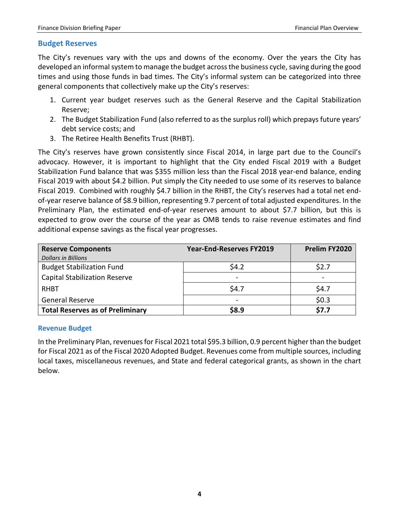### <span id="page-5-0"></span>**Budget Reserves**

The City's revenues vary with the ups and downs of the economy. Over the years the City has developed an informal system to manage the budget across the business cycle, saving during the good times and using those funds in bad times. The City's informal system can be categorized into three general components that collectively make up the City's reserves:

- 1. Current year budget reserves such as the General Reserve and the Capital Stabilization Reserve;
- 2. The Budget Stabilization Fund (also referred to as the surplus roll) which prepays future years' debt service costs; and
- 3. The Retiree Health Benefits Trust (RHBT).

The City's reserves have grown consistently since Fiscal 2014, in large part due to the Council's advocacy. However, it is important to highlight that the City ended Fiscal 2019 with a Budget Stabilization Fund balance that was \$355 million less than the Fiscal 2018 year-end balance, ending Fiscal 2019 with about \$4.2 billion. Put simply the City needed to use some of its reserves to balance Fiscal 2019. Combined with roughly \$4.7 billion in the RHBT, the City's reserves had a total net endof-year reserve balance of \$8.9 billion, representing 9.7 percent of total adjusted expenditures. In the Preliminary Plan, the estimated end-of-year reserves amount to about \$7.7 billion, but this is expected to grow over the course of the year as OMB tends to raise revenue estimates and find additional expense savings as the fiscal year progresses.

| <b>Reserve Components</b>               | <b>Year-End-Reserves FY2019</b> | Prelim FY2020 |
|-----------------------------------------|---------------------------------|---------------|
| <b>Dollars in Billions</b>              |                                 |               |
| <b>Budget Stabilization Fund</b>        | \$4.2                           | \$2.7         |
| <b>Capital Stabilization Reserve</b>    | $\overline{\phantom{a}}$        |               |
| RHBT                                    | \$4.7                           | \$4.7         |
| General Reserve                         |                                 | \$0.3         |
| <b>Total Reserves as of Preliminary</b> | \$8.9                           | \$7.7         |

## <span id="page-5-1"></span>**Revenue Budget**

In the Preliminary Plan, revenues for Fiscal 2021 total \$95.3 billion, 0.9 percent higher than the budget for Fiscal 2021 as of the Fiscal 2020 Adopted Budget. Revenues come from multiple sources, including local taxes, miscellaneous revenues, and State and federal categorical grants, as shown in the chart below.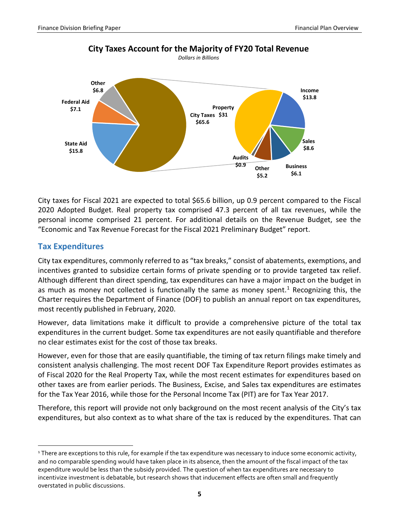

**City Taxes Account for the Majority of FY20 Total Revenue**

City taxes for Fiscal 2021 are expected to total \$65.6 billion, up 0.9 percent compared to the Fiscal 2020 Adopted Budget. Real property tax comprised 47.3 percent of all tax revenues, while the personal income comprised 21 percent. For additional details on the Revenue Budget, see the "Economic and Tax Revenue Forecast for the Fiscal 2021 Preliminary Budget" report.

# <span id="page-6-0"></span>**Tax Expenditures**

City tax expenditures, commonly referred to as "tax breaks," consist of abatements, exemptions, and incentives granted to subsidize certain forms of private spending or to provide targeted tax relief. Although different than direct spending, tax expenditures can have a major impact on the budget in as much as money not collected is functionally the same as money spent.<sup>[1](#page-6-1)</sup> Recognizing this, the Charter requires the Department of Finance (DOF) to publish an annual report on tax expenditures, most recently published in February, 2020.

However, data limitations make it difficult to provide a comprehensive picture of the total tax expenditures in the current budget. Some tax expenditures are not easily quantifiable and therefore no clear estimates exist for the cost of those tax breaks.

However, even for those that are easily quantifiable, the timing of tax return filings make timely and consistent analysis challenging. The most recent DOF Tax Expenditure Report provides estimates as of Fiscal 2020 for the Real Property Tax, while the most recent estimates for expenditures based on other taxes are from earlier periods. The Business, Excise, and Sales tax expenditures are estimates for the Tax Year 2016, while those for the Personal Income Tax (PIT) are for Tax Year 2017.

Therefore, this report will provide not only background on the most recent analysis of the City's tax expenditures, but also context as to what share of the tax is reduced by the expenditures. That can

<span id="page-6-1"></span><sup>&</sup>lt;sup>1</sup> There are exceptions to this rule, for example if the tax expenditure was necessary to induce some economic activity, and no comparable spending would have taken place in its absence, then the amount of the fiscal impact of the tax expenditure would be less than the subsidy provided. The question of when tax expenditures are necessary to incentivize investment is debatable, but research shows that inducement effects are often small and frequently overstated in public discussions.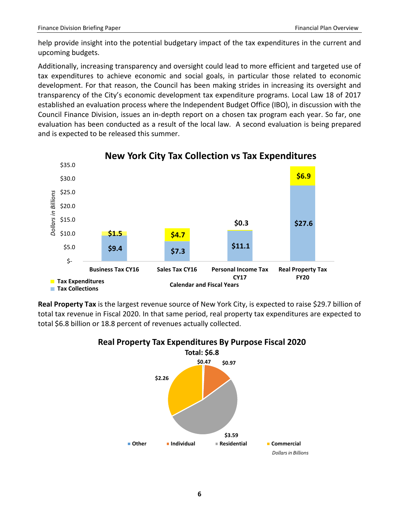help provide insight into the potential budgetary impact of the tax expenditures in the current and upcoming budgets.

Additionally, increasing transparency and oversight could lead to more efficient and targeted use of tax expenditures to achieve economic and social goals, in particular those related to economic development. For that reason, the Council has been making strides in increasing its oversight and transparency of the City's economic development tax expenditure programs. Local Law 18 of 2017 established an evaluation process where the Independent Budget Office (IBO), in discussion with the Council Finance Division, issues an in-depth report on a chosen tax program each year. So far, one evaluation has been conducted as a result of the local law. A second evaluation is being prepared and is expected to be released this summer.



# **New York City Tax Collection vs Tax Expenditures**

**Real Property Tax** is the largest revenue source of New York City, is expected to raise \$29.7 billion of total tax revenue in Fiscal 2020. In that same period, real property tax expenditures are expected to total \$6.8 billion or 18.8 percent of revenues actually collected.



# **Real Property Tax Expenditures By Purpose Fiscal 2020**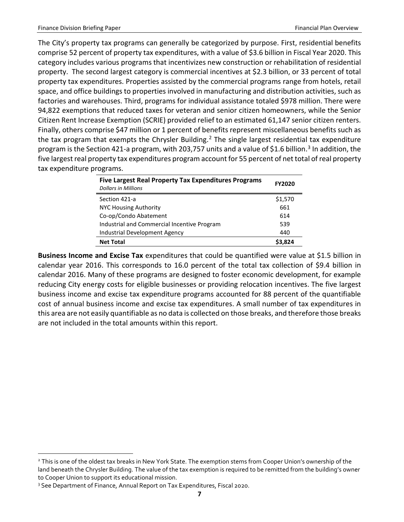The City's property tax programs can generally be categorized by purpose. First, residential benefits comprise 52 percent of property tax expenditures, with a value of \$3.6 billion in Fiscal Year 2020. This category includes various programs that incentivizes new construction or rehabilitation of residential property. The second largest category is commercial incentives at \$2.3 billion, or 33 percent of total property tax expenditures. Properties assisted by the commercial programs range from hotels, retail space, and office buildings to properties involved in manufacturing and distribution activities, such as factories and warehouses. Third, programs for individual assistance totaled \$978 million. There were 94,822 exemptions that reduced taxes for veteran and senior citizen homeowners, while the Senior Citizen Rent Increase Exemption (SCRIE) provided relief to an estimated 61,147 senior citizen renters. Finally, others comprise \$47 million or 1 percent of benefits represent miscellaneous benefits such as the tax program that exempts the Chrysler Building.<sup>[2](#page-8-0)</sup> The single largest residential tax expenditure program is the Section 421-a program, with 20[3](#page-8-1),757 units and a value of \$1.6 billion.<sup>3</sup> In addition, the five largest real property tax expenditures program account for 55 percent of net total of real property tax expenditure programs.

| <b>Five Largest Real Property Tax Expenditures Programs</b><br><b>Dollars in Millions</b> | <b>FY2020</b> |
|-------------------------------------------------------------------------------------------|---------------|
| Section 421-a                                                                             | \$1,570       |
| <b>NYC Housing Authority</b>                                                              | 661           |
| Co-op/Condo Abatement                                                                     | 614           |
| Industrial and Commercial Incentive Program                                               | 539           |
| Industrial Development Agency                                                             | 440           |
| <b>Net Total</b>                                                                          | \$3.824       |

**Business Income and Excise Tax** expenditures that could be quantified were value at \$1.5 billion in calendar year 2016. This corresponds to 16.0 percent of the total tax collection of \$9.4 billion in calendar 2016. Many of these programs are designed to foster economic development, for example reducing City energy costs for eligible businesses or providing relocation incentives. The five largest business income and excise tax expenditure programs accounted for 88 percent of the quantifiable cost of annual business income and excise tax expenditures. A small number of tax expenditures in this area are not easily quantifiable as no data is collected on those breaks, and therefore those breaks are not included in the total amounts within this report.

<span id="page-8-0"></span><sup>&</sup>lt;sup>2</sup> This is one of the oldest tax breaks in New York State. The exemption stems from Cooper Union's ownership of the land beneath the Chrysler Building. The value of the tax exemption is required to be remitted from the building's owner to Cooper Union to support its educational mission.

<span id="page-8-1"></span><sup>&</sup>lt;sup>3</sup> See Department of Finance, Annual Report on Tax Expenditures, Fiscal 2020.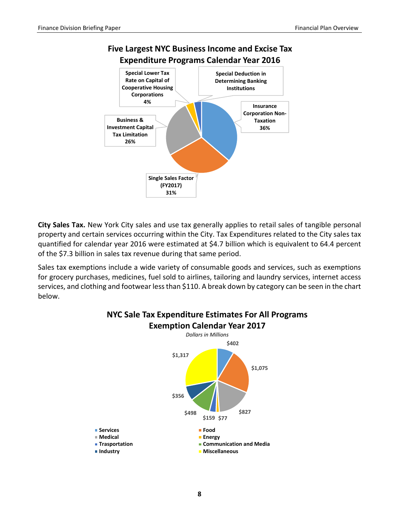



**City Sales Tax.** New York City sales and use tax generally applies to retail sales of tangible personal property and certain services occurring within the City. Tax Expenditures related to the City sales tax quantified for calendar year 2016 were estimated at \$4.7 billion which is equivalent to 64.4 percent of the \$7.3 billion in sales tax revenue during that same period.

Sales tax exemptions include a wide variety of consumable goods and services, such as exemptions for grocery purchases, medicines, fuel sold to airlines, tailoring and laundry services, internet access services, and clothing and footwear less than \$110. A break down by category can be seen in the chart below.

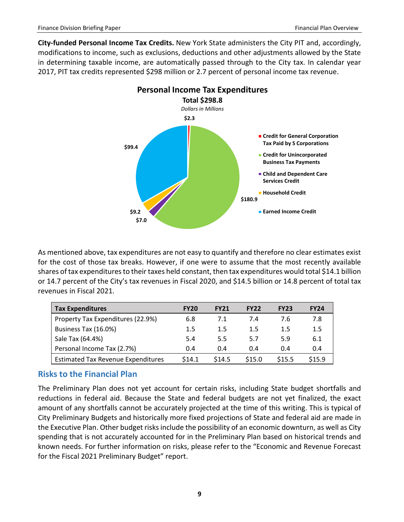**City-funded Personal Income Tax Credits.** New York State administers the City PIT and, accordingly, modifications to income, such as exclusions, deductions and other adjustments allowed by the State in determining taxable income, are automatically passed through to the City tax. In calendar year 2017, PIT tax credits represented \$298 million or 2.7 percent of personal income tax revenue.



As mentioned above, tax expenditures are not easy to quantify and therefore no clear estimates exist for the cost of those tax breaks. However, if one were to assume that the most recently available shares of tax expenditures to their taxes held constant, then tax expenditures would total \$14.1 billion or 14.7 percent of the City's tax revenues in Fiscal 2020, and \$14.5 billion or 14.8 percent of total tax revenues in Fiscal 2021.

| <b>Tax Expenditures</b>                   | <b>FY20</b> | <b>FY21</b> | <b>FY22</b> | <b>FY23</b> | <b>FY24</b> |
|-------------------------------------------|-------------|-------------|-------------|-------------|-------------|
| Property Tax Expenditures (22.9%)         | 6.8         | 7.1         | 7.4         | 7.6         | 7.8         |
| Business Tax (16.0%)                      | 1.5         | $1.5\,$     | $1.5\,$     | 1.5         | 1.5         |
| Sale Tax (64.4%)                          | 5.4         | 5.5         | 5.7         | 5.9         | 6.1         |
| Personal Income Tax (2.7%)                | 0.4         | 0.4         | 0.4         | 0.4         | 0.4         |
| <b>Estimated Tax Revenue Expenditures</b> | 514.1       | \$14.5      | \$15.0      | \$15.5      | \$15.9      |

# <span id="page-10-0"></span>**Risks to the Financial Plan**

The Preliminary Plan does not yet account for certain risks, including State budget shortfalls and reductions in federal aid. Because the State and federal budgets are not yet finalized, the exact amount of any shortfalls cannot be accurately projected at the time of this writing. This is typical of City Preliminary Budgets and historically more fixed projections of State and federal aid are made in the Executive Plan. Other budget risks include the possibility of an economic downturn, as well as City spending that is not accurately accounted for in the Preliminary Plan based on historical trends and known needs. For further information on risks, please refer to the "Economic and Revenue Forecast for the Fiscal 2021 Preliminary Budget" report.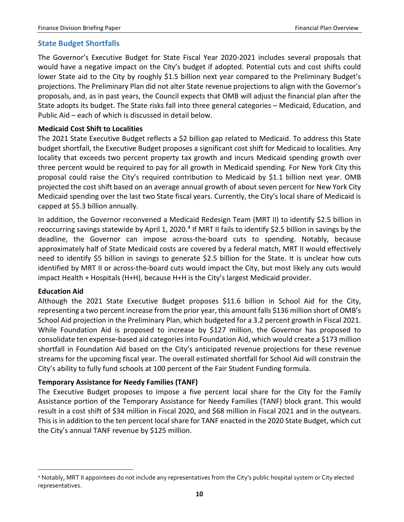## <span id="page-11-0"></span>**State Budget Shortfalls**

The Governor's Executive Budget for State Fiscal Year 2020-2021 includes several proposals that would have a negative impact on the City's budget if adopted. Potential cuts and cost shifts could lower State aid to the City by roughly \$1.5 billion next year compared to the Preliminary Budget's projections. The Preliminary Plan did not alter State revenue projections to align with the Governor's proposals, and, as in past years, the Council expects that OMB will adjust the financial plan after the State adopts its budget. The State risks fall into three general categories – Medicaid, Education, and Public Aid – each of which is discussed in detail below.

#### **Medicaid Cost Shift to Localities**

The 2021 State Executive Budget reflects a \$2 billion gap related to Medicaid. To address this State budget shortfall, the Executive Budget proposes a significant cost shift for Medicaid to localities. Any locality that exceeds two percent property tax growth and incurs Medicaid spending growth over three percent would be required to pay for all growth in Medicaid spending. For New York City this proposal could raise the City's required contribution to Medicaid by \$1.1 billion next year. OMB projected the cost shift based on an average annual growth of about seven percent for New York City Medicaid spending over the last two State fiscal years. Currently, the City's local share of Medicaid is capped at \$5.3 billion annually.

In addition, the Governor reconvened a Medicaid Redesign Team (MRT II) to identify \$2.5 billion in reoccurring savings statewide by April 1, 2020.<sup>[4](#page-11-1)</sup> If MRT II fails to identify \$2.5 billion in savings by the deadline, the Governor can impose across-the-board cuts to spending. Notably, because approximately half of State Medicaid costs are covered by a federal match, MRT II would effectively need to identify \$5 billion in savings to generate \$2.5 billion for the State. It is unclear how cuts identified by MRT II or across-the-board cuts would impact the City, but most likely any cuts would impact Health + Hospitals (H+H), because H+H is the City's largest Medicaid provider.

#### **Education Aid**

Although the 2021 State Executive Budget proposes \$11.6 billion in School Aid for the City, representing a two percent increase from the prior year, this amount falls \$136 million short of OMB's School Aid projection in the Preliminary Plan, which budgeted for a 3.2 percent growth in Fiscal 2021. While Foundation Aid is proposed to increase by \$127 million, the Governor has proposed to consolidate ten expense-based aid categories into Foundation Aid, which would create a \$173 million shortfall in Foundation Aid based on the City's anticipated revenue projections for these revenue streams for the upcoming fiscal year. The overall estimated shortfall for School Aid will constrain the City's ability to fully fund schools at 100 percent of the Fair Student Funding formula.

#### **Temporary Assistance for Needy Families (TANF)**

The Executive Budget proposes to impose a five percent local share for the City for the Family Assistance portion of the Temporary Assistance for Needy Families (TANF) block grant. This would result in a cost shift of \$34 million in Fiscal 2020, and \$68 million in Fiscal 2021 and in the outyears. This is in addition to the ten percent local share for TANF enacted in the 2020 State Budget, which cut the City's annual TANF revenue by \$125 million.

<span id="page-11-1"></span> <sup>4</sup> Notably, MRT II appointees do not include any representatives from the City's public hospital system or City elected representatives.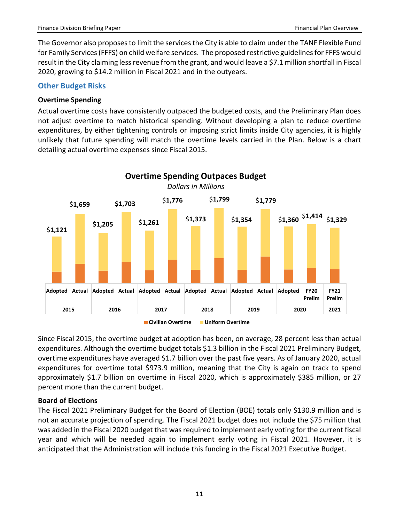The Governor also proposes to limit the services the City is able to claim under the TANF Flexible Fund for Family Services (FFFS) on child welfare services. The proposed restrictive guidelinesfor FFFS would result in the City claiming less revenue from the grant, and would leave a \$7.1 million shortfall in Fiscal 2020, growing to \$14.2 million in Fiscal 2021 and in the outyears.

## <span id="page-12-0"></span>**Other Budget Risks**

## **Overtime Spending**

Actual overtime costs have consistently outpaced the budgeted costs, and the Preliminary Plan does not adjust overtime to match historical spending. Without developing a plan to reduce overtime expenditures, by either tightening controls or imposing strict limits inside City agencies, it is highly unlikely that future spending will match the overtime levels carried in the Plan. Below is a chart detailing actual overtime expenses since Fiscal 2015.



Since Fiscal 2015, the overtime budget at adoption has been, on average, 28 percent less than actual expenditures. Although the overtime budget totals \$1.3 billion in the Fiscal 2021 Preliminary Budget, overtime expenditures have averaged \$1.7 billion over the past five years. As of January 2020, actual expenditures for overtime total \$973.9 million, meaning that the City is again on track to spend approximately \$1.7 billion on overtime in Fiscal 2020, which is approximately \$385 million, or 27 percent more than the current budget.

# **Board of Elections**

The Fiscal 2021 Preliminary Budget for the Board of Election (BOE) totals only \$130.9 million and is not an accurate projection of spending. The Fiscal 2021 budget does not include the \$75 million that was added in the Fiscal 2020 budget that was required to implement early voting for the current fiscal year and which will be needed again to implement early voting in Fiscal 2021. However, it is anticipated that the Administration will include this funding in the Fiscal 2021 Executive Budget.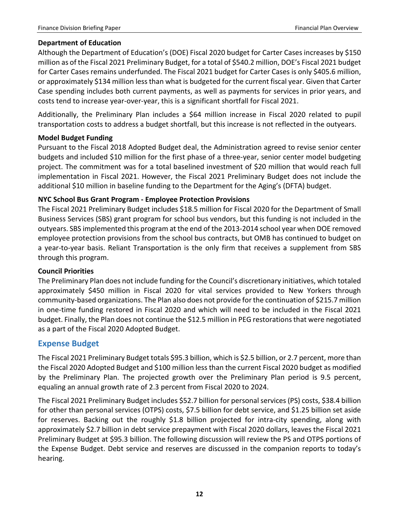### **Department of Education**

Although the Department of Education's (DOE) Fiscal 2020 budget for Carter Cases increases by \$150 million as of the Fiscal 2021 Preliminary Budget, for a total of \$540.2 million, DOE's Fiscal 2021 budget for Carter Cases remains underfunded. The Fiscal 2021 budget for Carter Cases is only \$405.6 million, or approximately \$134 million less than what is budgeted for the current fiscal year. Given that Carter Case spending includes both current payments, as well as payments for services in prior years, and costs tend to increase year-over-year, this is a significant shortfall for Fiscal 2021.

Additionally, the Preliminary Plan includes a \$64 million increase in Fiscal 2020 related to pupil transportation costs to address a budget shortfall, but this increase is not reflected in the outyears.

#### **Model Budget Funding**

Pursuant to the Fiscal 2018 Adopted Budget deal, the Administration agreed to revise senior center budgets and included \$10 million for the first phase of a three-year, senior center model budgeting project. The commitment was for a total baselined investment of \$20 million that would reach full implementation in Fiscal 2021. However, the Fiscal 2021 Preliminary Budget does not include the additional \$10 million in baseline funding to the Department for the Aging's (DFTA) budget.

## **NYC School Bus Grant Program - Employee Protection Provisions**

The Fiscal 2021 Preliminary Budget includes \$18.5 million for Fiscal 2020 for the Department of Small Business Services (SBS) grant program for school bus vendors, but this funding is not included in the outyears. SBS implemented this program at the end of the 2013-2014 school year when DOE removed employee protection provisions from the school bus contracts, but OMB has continued to budget on a year-to-year basis. Reliant Transportation is the only firm that receives a supplement from SBS through this program.

#### **Council Priorities**

The Preliminary Plan does not include funding for the Council's discretionary initiatives, which totaled approximately \$450 million in Fiscal 2020 for vital services provided to New Yorkers through community-based organizations. The Plan also does not provide for the continuation of \$215.7 million in one-time funding restored in Fiscal 2020 and which will need to be included in the Fiscal 2021 budget. Finally, the Plan does not continue the \$12.5 million in PEG restorations that were negotiated as a part of the Fiscal 2020 Adopted Budget.

# <span id="page-13-0"></span>**Expense Budget**

The Fiscal 2021 Preliminary Budget totals \$95.3 billion, which is \$2.5 billion, or 2.7 percent, more than the Fiscal 2020 Adopted Budget and \$100 million less than the current Fiscal 2020 budget as modified by the Preliminary Plan. The projected growth over the Preliminary Plan period is 9.5 percent, equaling an annual growth rate of 2.3 percent from Fiscal 2020 to 2024.

The Fiscal 2021 Preliminary Budget includes \$52.7 billion for personal services (PS) costs, \$38.4 billion for other than personal services (OTPS) costs, \$7.5 billion for debt service, and \$1.25 billion set aside for reserves. Backing out the roughly \$1.8 billion projected for intra-city spending, along with approximately \$2.7 billion in debt service prepayment with Fiscal 2020 dollars, leaves the Fiscal 2021 Preliminary Budget at \$95.3 billion. The following discussion will review the PS and OTPS portions of the Expense Budget. Debt service and reserves are discussed in the companion reports to today's hearing.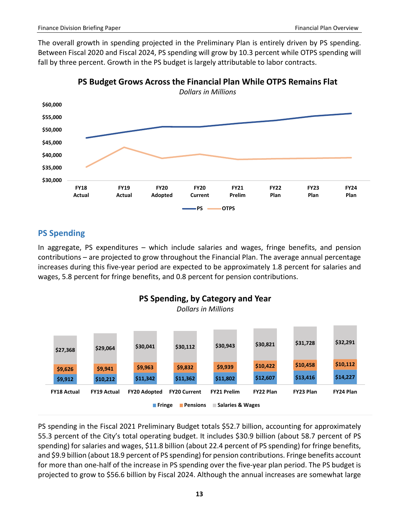The overall growth in spending projected in the Preliminary Plan is entirely driven by PS spending. Between Fiscal 2020 and Fiscal 2024, PS spending will grow by 10.3 percent while OTPS spending will fall by three percent. Growth in the PS budget is largely attributable to labor contracts.





# <span id="page-14-0"></span>**PS Spending**

In aggregate, PS expenditures – which include salaries and wages, fringe benefits, and pension contributions – are projected to grow throughout the Financial Plan. The average annual percentage increases during this five-year period are expected to be approximately 1.8 percent for salaries and wages, 5.8 percent for fringe benefits, and 0.8 percent for pension contributions.



PS spending in the Fiscal 2021 Preliminary Budget totals \$52.7 billion, accounting for approximately 55.3 percent of the City's total operating budget. It includes \$30.9 billion (about 58.7 percent of PS spending) for salaries and wages, \$11.8 billion (about 22.4 percent of PS spending) for fringe benefits, and \$9.9 billion (about 18.9 percent of PS spending) for pension contributions. Fringe benefits account for more than one-half of the increase in PS spending over the five-year plan period. The PS budget is projected to grow to \$56.6 billion by Fiscal 2024. Although the annual increases are somewhat large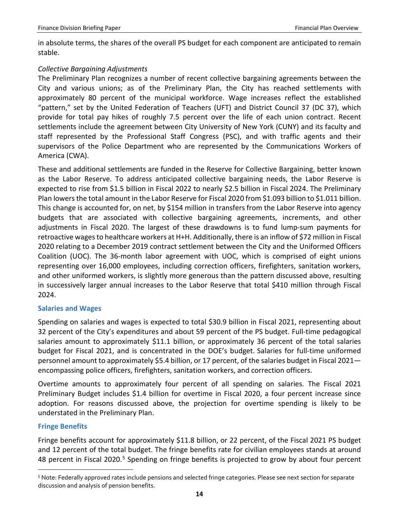in absolute terms, the shares of the overall PS budget for each component are anticipated to remain stable.

#### *Collective Bargaining Adjustments*

The Preliminary Plan recognizes a number of recent collective bargaining agreements between the City and various unions; as of the Preliminary Plan, the City has reached settlements with approximately 80 percent of the municipal workforce. Wage increases reflect the established "pattern," set by the United Federation of Teachers (UFT) and District Council 37 (DC 37), which provide for total pay hikes of roughly 7.5 percent over the life of each union contract. Recent settlements include the agreement between City University of New York (CUNY) and its faculty and staff represented by the Professional Staff Congress (PSC), and with traffic agents and their supervisors of the Police Department who are represented by the Communications Workers of America (CWA).

These and additional settlements are funded in the Reserve for Collective Bargaining, better known as the Labor Reserve. To address anticipated collective bargaining needs, the Labor Reserve is expected to rise from \$1.5 billion in Fiscal 2022 to nearly \$2.5 billion in Fiscal 2024. The Preliminary Plan lowersthe total amount in the Labor Reserve for Fiscal 2020 from \$1.093 billion to \$1.011 billion. This change is accounted for, on net, by \$154 million in transfers from the Labor Reserve into agency budgets that are associated with collective bargaining agreements, increments, and other adjustments in Fiscal 2020. The largest of these drawdowns is to fund lump-sum payments for retroactive wages to healthcare workers at H+H. Additionally, there is an inflow of \$72 million in Fiscal 2020 relating to a December 2019 contract settlement between the City and the Uniformed Officers Coalition (UOC). The 36-month labor agreement with UOC, which is comprised of eight unions representing over 16,000 employees, including correction officers, firefighters, sanitation workers, and other uniformed workers, is slightly more generous than the pattern discussed above, resulting in successively larger annual increases to the Labor Reserve that total \$410 million through Fiscal 2024.

#### <span id="page-15-0"></span>**Salaries and Wages**

Spending on salaries and wages is expected to total \$30.9 billion in Fiscal 2021, representing about 32 percent of the City's expenditures and about 59 percent of the PS budget. Full-time pedagogical salaries amount to approximately \$11.1 billion, or approximately 36 percent of the total salaries budget for Fiscal 2021, and is concentrated in the DOE's budget. Salaries for full-time uniformed personnel amount to approximately \$5.4 billion, or 17 percent, of the salaries budget in Fiscal 2021 encompassing police officers, firefighters, sanitation workers, and correction officers.

Overtime amounts to approximately four percent of all spending on salaries. The Fiscal 2021 Preliminary Budget includes \$1.4 billion for overtime in Fiscal 2020, a four percent increase since adoption. For reasons discussed above, the projection for overtime spending is likely to be understated in the Preliminary Plan.

#### <span id="page-15-1"></span>**Fringe Benefits**

Fringe benefits account for approximately \$11.8 billion, or 22 percent, of the Fiscal 2021 PS budget and 12 percent of the total budget. The fringe benefits rate for civilian employees stands at around 48 percent in Fiscal 2020.<sup>[5](#page-15-2)</sup> Spending on fringe benefits is projected to grow by about four percent

<span id="page-15-2"></span> <sup>5</sup> Note: Federally approved rates include pensions and selected fringe categories. Please see next section for separate discussion and analysis of pension benefits.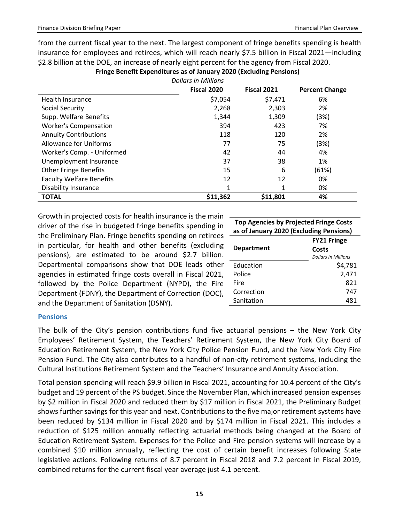| Fringe Benefit Expenditures as of January 2020 (Excluding Pensions) |          |          |       |  |  |  |  |
|---------------------------------------------------------------------|----------|----------|-------|--|--|--|--|
| <b>Dollars in Millions</b>                                          |          |          |       |  |  |  |  |
| <b>Fiscal 2021</b><br>Fiscal 2020<br><b>Percent Change</b>          |          |          |       |  |  |  |  |
| Health Insurance                                                    | \$7,054  | \$7,471  | 6%    |  |  |  |  |
| Social Security                                                     | 2,268    | 2,303    | 2%    |  |  |  |  |
| Supp. Welfare Benefits                                              | 1,344    | 1,309    | (3%)  |  |  |  |  |
| <b>Worker's Compensation</b>                                        | 394      | 423      | 7%    |  |  |  |  |
| <b>Annuity Contributions</b>                                        | 118      | 120      | 2%    |  |  |  |  |
| <b>Allowance for Uniforms</b>                                       | 77       | 75       | (3%)  |  |  |  |  |
| Worker's Comp. - Uniformed                                          | 42       | 44       | 4%    |  |  |  |  |
| Unemployment Insurance                                              | 37       | 38       | 1%    |  |  |  |  |
| <b>Other Fringe Benefits</b>                                        | 15       | 6        | (61%) |  |  |  |  |
| <b>Faculty Welfare Benefits</b>                                     | 12       | 12       | 0%    |  |  |  |  |
| <b>Disability Insurance</b>                                         | 1        | 1        | 0%    |  |  |  |  |
| <b>TOTAL</b>                                                        | \$11,362 | \$11,801 | 4%    |  |  |  |  |

from the current fiscal year to the next. The largest component of fringe benefits spending is health insurance for employees and retirees, which will reach nearly \$7.5 billion in Fiscal 2021—including \$2.8 billion at the DOE, an increase of nearly eight percent for the agency from Fiscal 2020.

Growth in projected costs for health insurance is the main driver of the rise in budgeted fringe benefits spending in the Preliminary Plan. Fringe benefits spending on retirees in particular, for health and other benefits (excluding pensions), are estimated to be around \$2.7 billion. Departmental comparisons show that DOE leads other agencies in estimated fringe costs overall in Fiscal 2021, followed by the Police Department (NYPD), the Fire Department (FDNY), the Department of Correction (DOC), and the Department of Sanitation (DSNY).

| <b>Top Agencies by Projected Fringe Costs</b><br>as of January 2020 (Excluding Pensions) |                            |  |  |  |
|------------------------------------------------------------------------------------------|----------------------------|--|--|--|
| <b>FY21 Fringe</b>                                                                       |                            |  |  |  |
| <b>Department</b>                                                                        | Costs                      |  |  |  |
|                                                                                          | <b>Dollars in Millions</b> |  |  |  |
| Education                                                                                | \$4,781                    |  |  |  |
| Police                                                                                   | 2,471                      |  |  |  |
| Fire                                                                                     | 821                        |  |  |  |
| Correction                                                                               | 747                        |  |  |  |
| Sanitation                                                                               | 481                        |  |  |  |

#### <span id="page-16-0"></span>**Pensions**

The bulk of the City's pension contributions fund five actuarial pensions – the New York City Employees' Retirement System, the Teachers' Retirement System, the New York City Board of Education Retirement System, the New York City Police Pension Fund, and the New York City Fire Pension Fund. The City also contributes to a handful of non-city retirement systems, including the Cultural Institutions Retirement System and the Teachers' Insurance and Annuity Association.

Total pension spending will reach \$9.9 billion in Fiscal 2021, accounting for 10.4 percent of the City's budget and 19 percent of the PS budget. Since the November Plan, which increased pension expenses by \$2 million in Fiscal 2020 and reduced them by \$17 million in Fiscal 2021, the Preliminary Budget shows further savings for this year and next. Contributions to the five major retirement systems have been reduced by \$134 million in Fiscal 2020 and by \$174 million in Fiscal 2021. This includes a reduction of \$125 million annually reflecting actuarial methods being changed at the Board of Education Retirement System. Expenses for the Police and Fire pension systems will increase by a combined \$10 million annually, reflecting the cost of certain benefit increases following State legislative actions. Following returns of 8.7 percent in Fiscal 2018 and 7.2 percent in Fiscal 2019, combined returns for the current fiscal year average just 4.1 percent.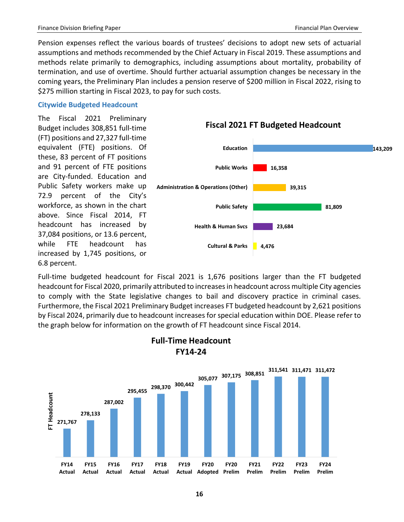Pension expenses reflect the various boards of trustees' decisions to adopt new sets of actuarial assumptions and methods recommended by the Chief Actuary in Fiscal 2019. These assumptions and methods relate primarily to demographics, including assumptions about mortality, probability of termination, and use of overtime. Should further actuarial assumption changes be necessary in the coming years, the Preliminary Plan includes a pension reserve of \$200 million in Fiscal 2022, rising to \$275 million starting in Fiscal 2023, to pay for such costs.

#### <span id="page-17-0"></span>**Citywide Budgeted Headcount**

The Fiscal 2021 Preliminary Budget includes 308,851 full-time (FT) positions and 27,327 full-time equivalent (FTE) positions. Of these, 83 percent of FT positions and 91 percent of FTE positions are City-funded. Education and Public Safety workers make up 72.9 percent of the City's workforce, as shown in the chart above. Since Fiscal 2014, FT headcount has increased by 37,084 positions, or 13.6 percent, while FTE headcount has increased by 1,745 positions, or 6.8 percent.



**Fiscal 2021 FT Budgeted Headcount**

Full-time budgeted headcount for Fiscal 2021 is 1,676 positions larger than the FT budgeted headcount for Fiscal 2020, primarily attributed to increases in headcount across multiple City agencies to comply with the State legislative changes to bail and discovery practice in criminal cases. Furthermore, the Fiscal 2021 Preliminary Budget increases FT budgeted headcount by 2,621 positions by Fiscal 2024, primarily due to headcount increases for special education within DOE. Please refer to the graph below for information on the growth of FT headcount since Fiscal 2014.



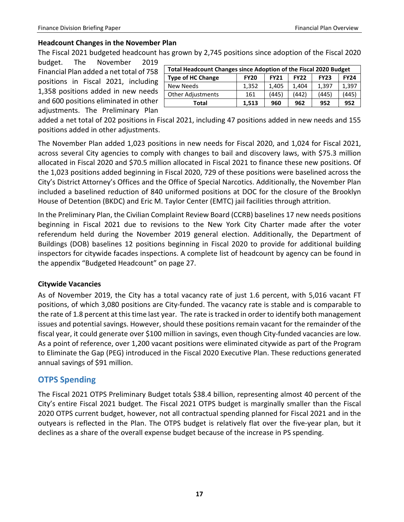## **Headcount Changes in the November Plan**

The Fiscal 2021 budgeted headcount has grown by 2,745 positions since adoption of the Fiscal 2020

budget. The November 2019 Financial Plan added a net total of 758 positions in Fiscal 2021, including 1,358 positions added in new needs and 600 positions eliminated in other adjustments. The Preliminary Plan

| <b>Total Headcount Changes since Adoption of the Fiscal 2020 Budget</b>                             |       |       |       |       |       |  |
|-----------------------------------------------------------------------------------------------------|-------|-------|-------|-------|-------|--|
| <b>Type of HC Change</b><br><b>FY24</b><br><b>FY23</b><br><b>FY20</b><br><b>FY21</b><br><b>FY22</b> |       |       |       |       |       |  |
| <b>New Needs</b>                                                                                    | 1,352 | 1,405 | 1.404 | 1.397 | 1,397 |  |
| <b>Other Adjustments</b>                                                                            | 161   | (445) | (442) | (445) | (445) |  |
| Total                                                                                               | 1,513 | 960   | 962   | 952   | 952   |  |

added a net total of 202 positions in Fiscal 2021, including 47 positions added in new needs and 155 positions added in other adjustments.

The November Plan added 1,023 positions in new needs for Fiscal 2020, and 1,024 for Fiscal 2021, across several City agencies to comply with changes to bail and discovery laws, with \$75.3 million allocated in Fiscal 2020 and \$70.5 million allocated in Fiscal 2021 to finance these new positions. Of the 1,023 positions added beginning in Fiscal 2020, 729 of these positions were baselined across the City's District Attorney's Offices and the Office of Special Narcotics. Additionally, the November Plan included a baselined reduction of 840 uniformed positions at DOC for the closure of the Brooklyn House of Detention (BKDC) and Eric M. Taylor Center (EMTC) jail facilities through attrition.

In the Preliminary Plan, the Civilian Complaint Review Board (CCRB) baselines 17 new needs positions beginning in Fiscal 2021 due to revisions to the New York City Charter made after the voter referendum held during the November 2019 general election. Additionally, the Department of Buildings (DOB) baselines 12 positions beginning in Fiscal 2020 to provide for additional building inspectors for citywide facades inspections. A complete list of headcount by agency can be found in the appendix "Budgeted Headcount" on page 27.

#### **Citywide Vacancies**

As of November 2019, the City has a total vacancy rate of just 1.6 percent, with 5,016 vacant FT positions, of which 3,080 positions are City-funded. The vacancy rate is stable and is comparable to the rate of 1.8 percent at this time last year. The rate is tracked in order to identify both management issues and potential savings. However, should these positions remain vacant for the remainder of the fiscal year, it could generate over \$100 million in savings, even though City-funded vacancies are low. As a point of reference, over 1,200 vacant positions were eliminated citywide as part of the Program to Eliminate the Gap (PEG) introduced in the Fiscal 2020 Executive Plan. These reductions generated annual savings of \$91 million.

# <span id="page-18-0"></span>**OTPS Spending**

The Fiscal 2021 OTPS Preliminary Budget totals \$38.4 billion, representing almost 40 percent of the City's entire Fiscal 2021 budget. The Fiscal 2021 OTPS budget is marginally smaller than the Fiscal 2020 OTPS current budget, however, not all contractual spending planned for Fiscal 2021 and in the outyears is reflected in the Plan. The OTPS budget is relatively flat over the five-year plan, but it declines as a share of the overall expense budget because of the increase in PS spending.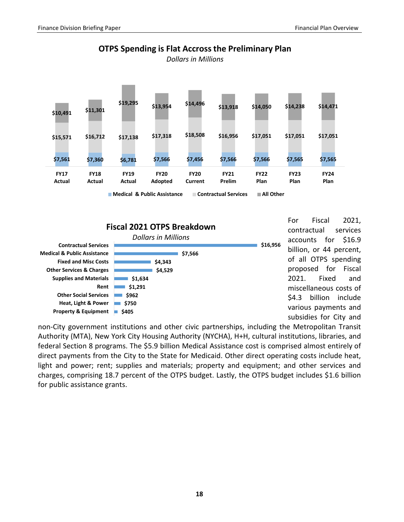

**OTPS Spending is Flat Accross the Preliminary Plan**

*Dollars in Millions*



For Fiscal 2021, contractual services accounts for \$16.9 billion, or 44 percent, of all OTPS spending proposed for Fiscal 2021. Fixed and miscellaneous costs of \$4.3 billion include various payments and subsidies for City and

non-City government institutions and other civic partnerships, including the Metropolitan Transit Authority (MTA), New York City Housing Authority (NYCHA), H+H, cultural institutions, libraries, and federal Section 8 programs. The \$5.9 billion Medical Assistance cost is comprised almost entirely of direct payments from the City to the State for Medicaid. Other direct operating costs include heat, light and power; rent; supplies and materials; property and equipment; and other services and charges, comprising 18.7 percent of the OTPS budget. Lastly, the OTPS budget includes \$1.6 billion for public assistance grants.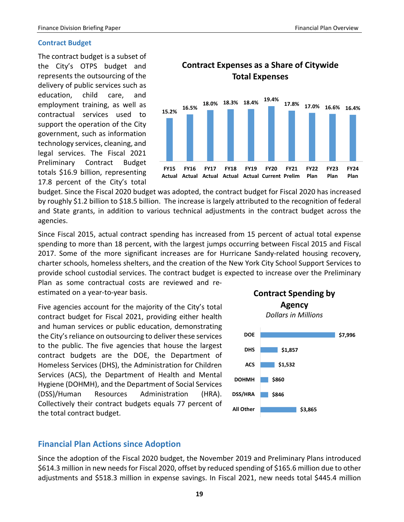#### <span id="page-20-0"></span>**Contract Budget**

The contract budget is a subset of the City's OTPS budget and represents the outsourcing of the delivery of public services such as education, child care, and employment training, as well as contractual services used to support the operation of the City government, such as information technology services, cleaning, and legal services. The Fiscal 2021 Preliminary Contract Budget totals \$16.9 billion, representing 17.8 percent of the City's total



budget. Since the Fiscal 2020 budget was adopted, the contract budget for Fiscal 2020 has increased by roughly \$1.2 billion to \$18.5 billion. The increase is largely attributed to the recognition of federal and State grants, in addition to various technical adjustments in the contract budget across the agencies.

Since Fiscal 2015, actual contract spending has increased from 15 percent of actual total expense spending to more than 18 percent, with the largest jumps occurring between Fiscal 2015 and Fiscal 2017. Some of the more significant increases are for Hurricane Sandy-related housing recovery, charter schools, homeless shelters, and the creation of the New York City School Support Services to provide school custodial services. The contract budget is expected to increase over the Preliminary

Plan as some contractual costs are reviewed and reestimated on a year-to-year basis.

Five agencies account for the majority of the City's total contract budget for Fiscal 2021, providing either health and human services or public education, demonstrating the City's reliance on outsourcing to deliver these services to the public. The five agencies that house the largest contract budgets are the DOE, the Department of Homeless Services (DHS), the Administration for Children Services (ACS), the Department of Health and Mental Hygiene (DOHMH), and the Department of Social Services (DSS)/Human Resources Administration (HRA). Collectively their contract budgets equals 77 percent of the total contract budget.



## <span id="page-20-1"></span>**Financial Plan Actions since Adoption**

Since the adoption of the Fiscal 2020 budget, the November 2019 and Preliminary Plans introduced \$614.3 million in new needs for Fiscal 2020, offset by reduced spending of \$165.6 million due to other adjustments and \$518.3 million in expense savings. In Fiscal 2021, new needs total \$445.4 million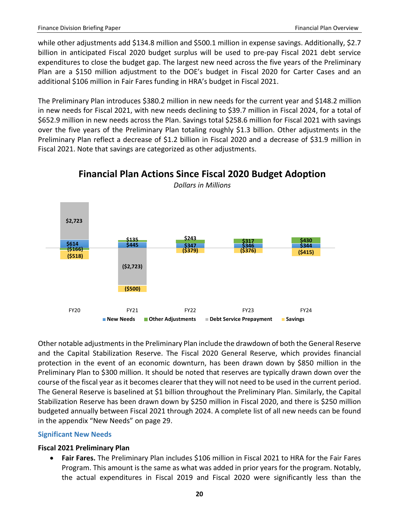while other adjustments add \$134.8 million and \$500.1 million in expense savings. Additionally, \$2.7 billion in anticipated Fiscal 2020 budget surplus will be used to pre-pay Fiscal 2021 debt service expenditures to close the budget gap. The largest new need across the five years of the Preliminary Plan are a \$150 million adjustment to the DOE's budget in Fiscal 2020 for Carter Cases and an additional \$106 million in Fair Fares funding in HRA's budget in Fiscal 2021.

The Preliminary Plan introduces \$380.2 million in new needs for the current year and \$148.2 million in new needs for Fiscal 2021, with new needs declining to \$39.7 million in Fiscal 2024, for a total of \$652.9 million in new needs across the Plan. Savings total \$258.6 million for Fiscal 2021 with savings over the five years of the Preliminary Plan totaling roughly \$1.3 billion. Other adjustments in the Preliminary Plan reflect a decrease of \$1.2 billion in Fiscal 2020 and a decrease of \$31.9 million in Fiscal 2021. Note that savings are categorized as other adjustments.



**Financial Plan Actions Since Fiscal 2020 Budget Adoption** *Dollars in Millions*

Other notable adjustments in the Preliminary Plan include the drawdown of both the General Reserve and the Capital Stabilization Reserve. The Fiscal 2020 General Reserve, which provides financial protection in the event of an economic downturn, has been drawn down by \$850 million in the Preliminary Plan to \$300 million. It should be noted that reserves are typically drawn down over the course of the fiscal year as it becomes clearer that they will not need to be used in the current period. The General Reserve is baselined at \$1 billion throughout the Preliminary Plan. Similarly, the Capital Stabilization Reserve has been drawn down by \$250 million in Fiscal 2020, and there is \$250 million budgeted annually between Fiscal 2021 through 2024. A complete list of all new needs can be found in the appendix "New Needs" on page 29.

#### <span id="page-21-0"></span>**Significant New Needs**

#### **Fiscal 2021 Preliminary Plan**

• **Fair Fares.** The Preliminary Plan includes \$106 million in Fiscal 2021 to HRA for the Fair Fares Program. This amount is the same as what was added in prior years for the program. Notably, the actual expenditures in Fiscal 2019 and Fiscal 2020 were significantly less than the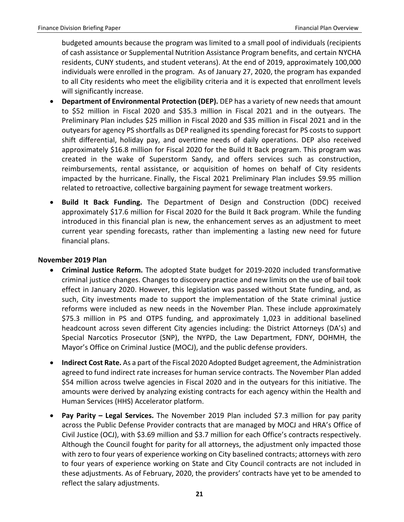budgeted amounts because the program was limited to a small pool of individuals (recipients of cash assistance or Supplemental Nutrition Assistance Program benefits, and certain NYCHA residents, CUNY students, and student veterans). At the end of 2019, approximately 100,000 individuals were enrolled in the program. As of January 27, 2020, the program has expanded to all City residents who meet the eligibility criteria and it is expected that enrollment levels will significantly increase.

- **Department of Environmental Protection (DEP).** DEP has a variety of new needs that amount to \$52 million in Fiscal 2020 and \$35.3 million in Fiscal 2021 and in the outyears. The Preliminary Plan includes \$25 million in Fiscal 2020 and \$35 million in Fiscal 2021 and in the outyears for agency PS shortfalls as DEP realigned its spending forecast for PS costs to support shift differential, holiday pay, and overtime needs of daily operations. DEP also received approximately \$16.8 million for Fiscal 2020 for the Build It Back program. This program was created in the wake of Superstorm Sandy, and offers services such as construction, reimbursements, rental assistance, or acquisition of homes on behalf of City residents impacted by the hurricane. Finally, the Fiscal 2021 Preliminary Plan includes \$9.95 million related to retroactive, collective bargaining payment for sewage treatment workers.
- **Build It Back Funding.** The Department of Design and Construction (DDC) received approximately \$17.6 million for Fiscal 2020 for the Build It Back program. While the funding introduced in this financial plan is new, the enhancement serves as an adjustment to meet current year spending forecasts, rather than implementing a lasting new need for future financial plans.

#### **November 2019 Plan**

- **Criminal Justice Reform.** The adopted State budget for 2019-2020 included transformative criminal justice changes. Changes to discovery practice and new limits on the use of bail took effect in January 2020. However, this legislation was passed without State funding, and, as such, City investments made to support the implementation of the State criminal justice reforms were included as new needs in the November Plan. These include approximately \$75.3 million in PS and OTPS funding, and approximately 1,023 in additional baselined headcount across seven different City agencies including: the District Attorneys (DA's) and Special Narcotics Prosecutor (SNP), the NYPD, the Law Department, FDNY, DOHMH, the Mayor's Office on Criminal Justice (MOCJ), and the public defense providers.
- **Indirect Cost Rate.** As a part of the Fiscal 2020 Adopted Budget agreement, the Administration agreed to fund indirect rate increases for human service contracts. The November Plan added \$54 million across twelve agencies in Fiscal 2020 and in the outyears for this initiative. The amounts were derived by analyzing existing contracts for each agency within the Health and Human Services (HHS) Accelerator platform.
- **Pay Parity – Legal Services.** The November 2019 Plan included \$7.3 million for pay parity across the Public Defense Provider contracts that are managed by MOCJ and HRA's Office of Civil Justice (OCJ), with \$3.69 million and \$3.7 million for each Office's contracts respectively. Although the Council fought for parity for all attorneys, the adjustment only impacted those with zero to four years of experience working on City baselined contracts; attorneys with zero to four years of experience working on State and City Council contracts are not included in these adjustments. As of February, 2020, the providers' contracts have yet to be amended to reflect the salary adjustments.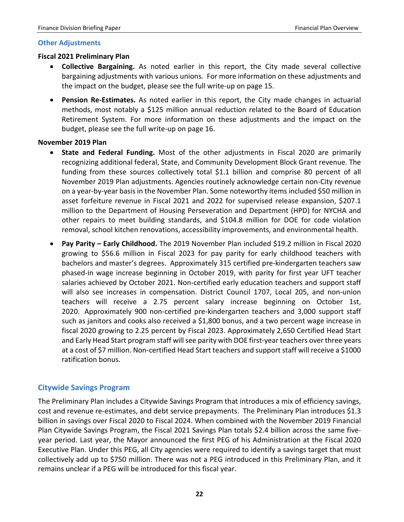#### <span id="page-23-0"></span>**Other Adjustments**

#### **Fiscal 2021 Preliminary Plan**

- **Collective Bargaining.** As noted earlier in this report, the City made several collective bargaining adjustments with various unions. For more information on these adjustments and the impact on the budget, please see the full write-up on page 15.
- **Pension Re-Estimates.** As noted earlier in this report, the City made changes in actuarial methods, most notably a \$125 million annual reduction related to the Board of Education Retirement System. For more information on these adjustments and the impact on the budget, please see the full write-up on page 16.

#### **November 2019 Plan**

- **State and Federal Funding.** Most of the other adjustments in Fiscal 2020 are primarily recognizing additional federal, State, and Community Development Block Grant revenue. The funding from these sources collectively total \$1.1 billion and comprise 80 percent of all November 2019 Plan adjustments. Agencies routinely acknowledge certain non-City revenue on a year-by-year basis in the November Plan. Some noteworthy items included \$50 million in asset forfeiture revenue in Fiscal 2021 and 2022 for supervised release expansion, \$207.1 million to the Department of Housing Perseveration and Department (HPD) for NYCHA and other repairs to meet building standards, and \$104.8 million for DOE for code violation removal, school kitchen renovations, accessibility improvements, and environmental health.
- **Pay Parity – Early Childhood.** The 2019 November Plan included \$19.2 million in Fiscal 2020 growing to \$56.6 million in Fiscal 2023 for pay parity for early childhood teachers with bachelors and master's degrees. Approximately 315 certified pre-kindergarten teachers saw phased-in wage increase beginning in October 2019, with parity for first year UFT teacher salaries achieved by October 2021. Non-certified early education teachers and support staff will also see increases in compensation. District Council 1707, Local 205, and non-union teachers will receive a 2.75 percent salary increase beginning on October 1st, 2020. Approximately 900 non-certified pre-kindergarten teachers and 3,000 support staff such as janitors and cooks also received a \$1,800 bonus, and a two percent wage increase in fiscal 2020 growing to 2.25 percent by Fiscal 2023. Approximately 2,650 Certified Head Start and Early Head Start program staff will see parity with DOE first-year teachers over three years at a cost of \$7 million. Non-certified Head Start teachers and support staff will receive a \$1000 ratification bonus.

## <span id="page-23-1"></span>**Citywide Savings Program**

The Preliminary Plan includes a Citywide Savings Program that introduces a mix of efficiency savings, cost and revenue re-estimates, and debt service prepayments. The Preliminary Plan introduces \$1.3 billion in savings over Fiscal 2020 to Fiscal 2024. When combined with the November 2019 Financial Plan Citywide Savings Program, the Fiscal 2021 Savings Plan totals \$2.4 billion across the same fiveyear period. Last year, the Mayor announced the first PEG of his Administration at the Fiscal 2020 Executive Plan. Under this PEG, all City agencies were required to identify a savings target that must collectively add up to \$750 million. There was not a PEG introduced in this Preliminary Plan, and it remains unclear if a PEG will be introduced for this fiscal year.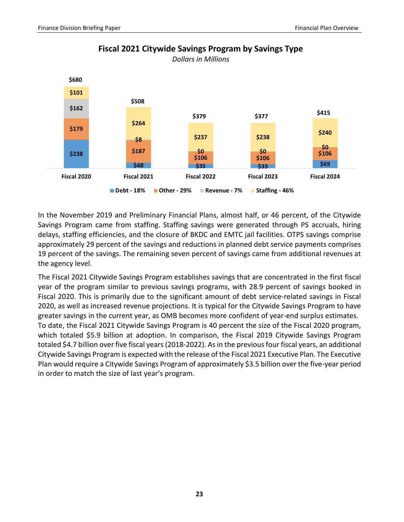

**Fiscal 2021 Citywide Savings Program by Savings Type** *Dollars in Millions*

In the November 2019 and Preliminary Financial Plans, almost half, or 46 percent, of the Citywide Savings Program came from staffing. Staffing savings were generated through PS accruals, hiring delays, staffing efficiencies, and the closure of BKDC and EMTC jail facilities. OTPS savings comprise approximately 29 percent of the savings and reductions in planned debt service payments comprises 19 percent of the savings. The remaining seven percent of savings came from additional revenues at the agency level.

The Fiscal 2021 Citywide Savings Program establishes savings that are concentrated in the first fiscal year of the program similar to previous savings programs, with 28.9 percent of savings booked in Fiscal 2020. This is primarily due to the significant amount of debt service-related savings in Fiscal 2020, as well as increased revenue projections. It is typical for the Citywide Savings Program to have greater savings in the current year, as OMB becomes more confident of year-end surplus estimates. To date, the Fiscal 2021 Citywide Savings Program is 40 percent the size of the Fiscal 2020 program, which totaled \$5.9 billion at adoption. In comparison, the Fiscal 2019 Citywide Savings Program totaled \$4.7 billion over five fiscal years (2018-2022). As in the previous four fiscal years, an additional Citywide Savings Program is expected with the release of the Fiscal 2021 Executive Plan. The Executive Plan would require a Citywide Savings Program of approximately \$3.5 billion over the five-year period in order to match the size of last year's program.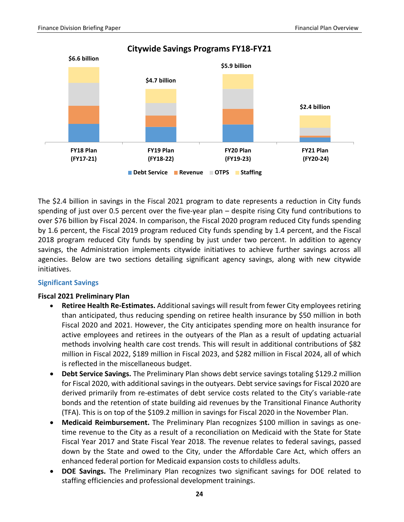

**Citywide Savings Programs FY18-FY21**

**Debt Service Revenue OTPS Staffing**

The \$2.4 billion in savings in the Fiscal 2021 program to date represents a reduction in City funds spending of just over 0.5 percent over the five-year plan – despite rising City fund contributions to over \$76 billion by Fiscal 2024. In comparison, the Fiscal 2020 program reduced City funds spending by 1.6 percent, the Fiscal 2019 program reduced City funds spending by 1.4 percent, and the Fiscal 2018 program reduced City funds by spending by just under two percent. In addition to agency savings, the Administration implements citywide initiatives to achieve further savings across all agencies. Below are two sections detailing significant agency savings, along with new citywide initiatives.

#### <span id="page-25-0"></span>**Significant Savings**

#### **Fiscal 2021 Preliminary Plan**

- **Retiree Health Re-Estimates.** Additional savings will result from fewer City employees retiring than anticipated, thus reducing spending on retiree health insurance by \$50 million in both Fiscal 2020 and 2021. However, the City anticipates spending more on health insurance for active employees and retirees in the outyears of the Plan as a result of updating actuarial methods involving health care cost trends. This will result in additional contributions of \$82 million in Fiscal 2022, \$189 million in Fiscal 2023, and \$282 million in Fiscal 2024, all of which is reflected in the miscellaneous budget.
- **Debt Service Savings.** The Preliminary Plan shows debt service savings totaling \$129.2 million for Fiscal 2020, with additional savings in the outyears. Debt service savings for Fiscal 2020 are derived primarily from re-estimates of debt service costs related to the City's variable-rate bonds and the retention of state building aid revenues by the Transitional Finance Authority (TFA). This is on top of the \$109.2 million in savings for Fiscal 2020 in the November Plan.
- **Medicaid Reimbursement.** The Preliminary Plan recognizes \$100 million in savings as onetime revenue to the City as a result of a reconciliation on Medicaid with the State for State Fiscal Year 2017 and State Fiscal Year 2018. The revenue relates to federal savings, passed down by the State and owed to the City, under the Affordable Care Act, which offers an enhanced federal portion for Medicaid expansion costs to childless adults.
- **DOE Savings.** The Preliminary Plan recognizes two significant savings for DOE related to staffing efficiencies and professional development trainings.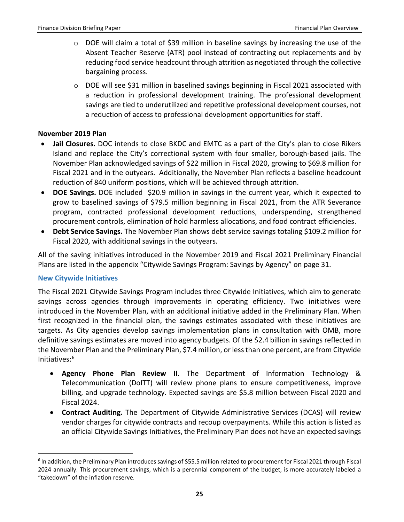- o DOE will claim a total of \$39 million in baseline savings by increasing the use of the Absent Teacher Reserve (ATR) pool instead of contracting out replacements and by reducing food service headcount through attrition as negotiated through the collective bargaining process.
- $\circ$  DOE will see \$31 million in baselined savings beginning in Fiscal 2021 associated with a reduction in professional development training. The professional development savings are tied to underutilized and repetitive professional development courses, not a reduction of access to professional development opportunities for staff.

#### **November 2019 Plan**

- **Jail Closures.** DOC intends to close BKDC and EMTC as a part of the City's plan to close Rikers Island and replace the City's correctional system with four smaller, borough-based jails. The November Plan acknowledged savings of \$22 million in Fiscal 2020, growing to \$69.8 million for Fiscal 2021 and in the outyears. Additionally, the November Plan reflects a baseline headcount reduction of 840 uniform positions, which will be achieved through attrition.
- **DOE Savings.** DOE included \$20.9 million in savings in the current year, which it expected to grow to baselined savings of \$79.5 million beginning in Fiscal 2021, from the ATR Severance program, contracted professional development reductions, underspending, strengthened procurement controls, elimination of hold harmless allocations, and food contract efficiencies.
- **Debt Service Savings.** The November Plan shows debt service savings totaling \$109.2 million for Fiscal 2020, with additional savings in the outyears.

All of the saving initiatives introduced in the November 2019 and Fiscal 2021 Preliminary Financial Plans are listed in the appendix "Citywide Savings Program: Savings by Agency" on page 31.

#### <span id="page-26-0"></span>**New Citywide Initiatives**

 $\overline{a}$ 

The Fiscal 2021 Citywide Savings Program includes three Citywide Initiatives, which aim to generate savings across agencies through improvements in operating efficiency. Two initiatives were introduced in the November Plan, with an additional initiative added in the Preliminary Plan. When first recognized in the financial plan, the savings estimates associated with these initiatives are targets. As City agencies develop savings implementation plans in consultation with OMB, more definitive savings estimates are moved into agency budgets. Of the \$2.4 billion in savings reflected in the November Plan and the Preliminary Plan, \$7.4 million, or less than one percent, are from Citywide Initiatives:[6](#page-26-1)

- **Agency Phone Plan Review II**. The Department of Information Technology & Telecommunication (DoITT) will review phone plans to ensure competitiveness, improve billing, and upgrade technology. Expected savings are \$5.8 million between Fiscal 2020 and Fiscal 2024.
- **Contract Auditing.** The Department of Citywide Administrative Services (DCAS) will review vendor charges for citywide contracts and recoup overpayments. While this action is listed as an official Citywide Savings Initiatives, the Preliminary Plan does not have an expected savings

<span id="page-26-1"></span> $6$  In addition, the Preliminary Plan introduces savings of \$55.5 million related to procurement for Fiscal 2021 through Fiscal 2024 annually. This procurement savings, which is a perennial component of the budget, is more accurately labeled a "takedown" of the inflation reserve.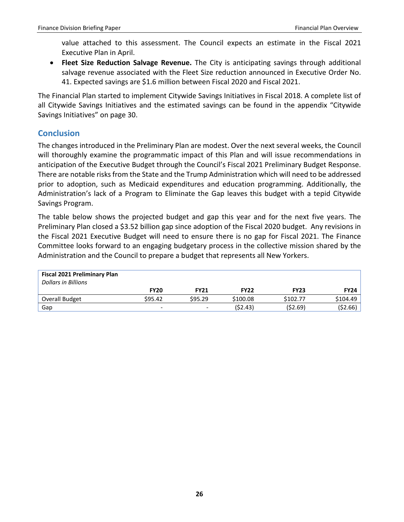value attached to this assessment. The Council expects an estimate in the Fiscal 2021 Executive Plan in April.

• **Fleet Size Reduction Salvage Revenue.** The City is anticipating savings through additional salvage revenue associated with the Fleet Size reduction announced in Executive Order No. 41. Expected savings are \$1.6 million between Fiscal 2020 and Fiscal 2021.

The Financial Plan started to implement Citywide Savings Initiatives in Fiscal 2018. A complete list of all Citywide Savings Initiatives and the estimated savings can be found in the appendix "Citywide Savings Initiatives" on page 30.

# <span id="page-27-0"></span>**Conclusion**

The changes introduced in the Preliminary Plan are modest. Over the next several weeks, the Council will thoroughly examine the programmatic impact of this Plan and will issue recommendations in anticipation of the Executive Budget through the Council's Fiscal 2021 Preliminary Budget Response. There are notable risks from the State and the Trump Administration which will need to be addressed prior to adoption, such as Medicaid expenditures and education programming. Additionally, the Administration's lack of a Program to Eliminate the Gap leaves this budget with a tepid Citywide Savings Program.

The table below shows the projected budget and gap this year and for the next five years. The Preliminary Plan closed a \$3.52 billion gap since adoption of the Fiscal 2020 budget. Any revisions in the Fiscal 2021 Executive Budget will need to ensure there is no gap for Fiscal 2021. The Finance Committee looks forward to an engaging budgetary process in the collective mission shared by the Administration and the Council to prepare a budget that represents all New Yorkers.

| <b>Fiscal 2021 Preliminary Plan</b><br><b>Dollars in Billions</b> |             |                          |             |             |             |
|-------------------------------------------------------------------|-------------|--------------------------|-------------|-------------|-------------|
|                                                                   | <b>FY20</b> | <b>FY21</b>              | <b>FY22</b> | <b>FY23</b> | <b>FY24</b> |
| Overall Budget                                                    | \$95.42     | \$95.29                  | \$100.08    | \$102.77    | \$104.49    |
| Gap                                                               | -           | $\overline{\phantom{a}}$ | (52.43)     | (\$2.69)    | ( \$2.66)   |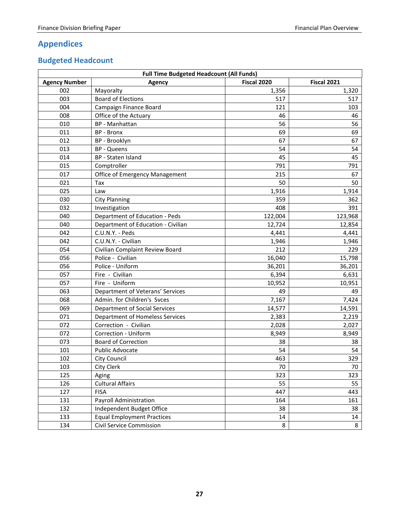# <span id="page-28-0"></span>**Appendices**

# <span id="page-28-1"></span>**Budgeted Headcount**

| <b>Full Time Budgeted Headcount (All Funds)</b> |                                    |             |                    |  |  |
|-------------------------------------------------|------------------------------------|-------------|--------------------|--|--|
| <b>Agency Number</b>                            | <b>Agency</b>                      | Fiscal 2020 | <b>Fiscal 2021</b> |  |  |
| 002                                             | Mayoralty                          | 1,356       | 1,320              |  |  |
| 003                                             | <b>Board of Elections</b>          | 517         | 517                |  |  |
| 004                                             | Campaign Finance Board             | 121         | 103                |  |  |
| 008                                             | Office of the Actuary              | 46          | 46                 |  |  |
| 010                                             | BP - Manhattan                     | 56          | 56                 |  |  |
| 011                                             | <b>BP</b> - Bronx                  | 69          | 69                 |  |  |
| 012                                             | BP - Brooklyn                      | 67          | 67                 |  |  |
| 013                                             | <b>BP</b> - Queens                 | 54          | 54                 |  |  |
| 014                                             | BP - Staten Island                 | 45          | 45                 |  |  |
| 015                                             | Comptroller                        | 791         | 791                |  |  |
| 017                                             | Office of Emergency Management     | 215         | 67                 |  |  |
| 021                                             | Tax                                | 50          | 50                 |  |  |
| 025                                             | Law                                | 1,916       | 1,914              |  |  |
| 030                                             | <b>City Planning</b>               | 359         | 362                |  |  |
| 032                                             | Investigation                      | 408         | 391                |  |  |
| 040                                             | Department of Education - Peds     | 122,004     | 123,968            |  |  |
| 040                                             | Department of Education - Civilian | 12,724      | 12,854             |  |  |
| 042                                             | C.U.N.Y. - Peds                    | 4,441       | 4,441              |  |  |
| 042                                             | C.U.N.Y. - Civilian                | 1,946       | 1,946              |  |  |
| 054                                             | Civilian Complaint Review Board    | 212         | 229                |  |  |
| 056                                             | Police - Civilian                  | 16,040      | 15,798             |  |  |
| 056                                             | Police - Uniform                   | 36,201      | 36,201             |  |  |
| 057                                             | Fire - Civilian                    | 6,394       | 6,631              |  |  |
| 057                                             | Fire - Uniform                     | 10,952      | 10,951             |  |  |
| 063                                             | Department of Veterans' Services   | 49          | 49                 |  |  |
| 068                                             | Admin. for Children's Svces        | 7,167       | 7,424              |  |  |
| 069                                             | Department of Social Services      | 14,577      | 14,591             |  |  |
| 071                                             | Department of Homeless Services    | 2,383       | 2,219              |  |  |
| 072                                             | Correction - Civilian              | 2,028       | 2,027              |  |  |
| 072                                             | Correction - Uniform               | 8,949       | 8,949              |  |  |
| 073                                             | <b>Board of Correction</b>         | 38          | 38                 |  |  |
| 101                                             | <b>Public Advocate</b>             | 54          | 54                 |  |  |
| 102                                             | City Council                       | 463         | 329                |  |  |
| 103                                             | City Clerk                         | 70          | 70                 |  |  |
| 125                                             | Aging                              | 323         | 323                |  |  |
| 126                                             | <b>Cultural Affairs</b>            | 55          | 55                 |  |  |
| 127                                             | <b>FISA</b>                        | 447         | 443                |  |  |
| 131                                             | Payroll Administration             | 164         | 161                |  |  |
| 132                                             | Independent Budget Office          | 38          | 38                 |  |  |
| 133                                             | <b>Equal Employment Practices</b>  | 14          | 14                 |  |  |
| 134                                             | Civil Service Commission           | 8           | 8                  |  |  |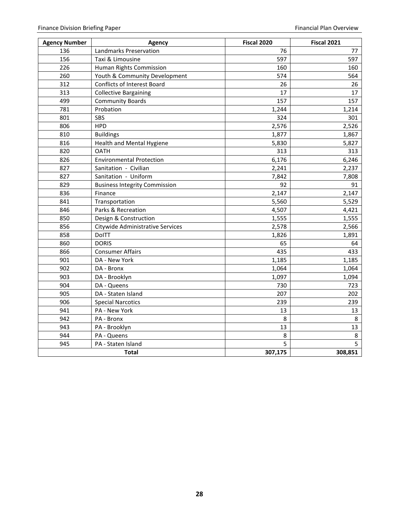| <b>Agency Number</b> | Agency                               | <b>Fiscal 2020</b> | <b>Fiscal 2021</b> |
|----------------------|--------------------------------------|--------------------|--------------------|
| 136                  | Landmarks Preservation               | 76                 | 77                 |
| 156                  | Taxi & Limousine                     | 597                | 597                |
| 226                  | Human Rights Commission              | 160                | 160                |
| 260                  | Youth & Community Development        | 574                | 564                |
| 312                  | <b>Conflicts of Interest Board</b>   | 26                 | 26                 |
| 313                  | <b>Collective Bargaining</b>         | 17                 | 17                 |
| 499                  | <b>Community Boards</b>              | 157                | 157                |
| 781                  | Probation                            | 1,244              | 1,214              |
| 801                  | SBS                                  | 324                | 301                |
| 806                  | <b>HPD</b>                           | 2,576              | 2,526              |
| 810                  | <b>Buildings</b>                     | 1,877              | 1,867              |
| 816                  | Health and Mental Hygiene            | 5,830              | 5,827              |
| 820                  | <b>OATH</b>                          | 313                | 313                |
| 826                  | <b>Environmental Protection</b>      | 6,176              | 6,246              |
| 827                  | Sanitation - Civilian                | 2,241              | 2,237              |
| 827                  | Sanitation - Uniform                 | 7,842              | 7,808              |
| 829                  | <b>Business Integrity Commission</b> | 92                 | 91                 |
| 836                  | Finance                              | 2,147              | 2,147              |
| 841                  | Transportation                       | 5,560              | 5,529              |
| 846                  | Parks & Recreation                   | 4,507              | 4,421              |
| 850                  | Design & Construction                | 1,555              | 1,555              |
| 856                  | Citywide Administrative Services     | 2,578              | 2,566              |
| 858                  | DolTT                                | 1,826              | 1,891              |
| 860                  | <b>DORIS</b>                         | 65                 | 64                 |
| 866                  | <b>Consumer Affairs</b>              | 435                | 433                |
| 901                  | DA - New York                        | 1,185              | 1,185              |
| 902                  | DA - Bronx                           | 1,064              | 1,064              |
| 903                  | DA - Brooklyn                        | 1,097              | 1,094              |
| 904                  | DA - Queens                          | 730                | 723                |
| 905                  | DA - Staten Island                   | 207                | 202                |
| 906                  | <b>Special Narcotics</b>             | 239                | 239                |
| 941                  | PA - New York                        | 13                 | 13                 |
| 942                  | PA - Bronx                           | 8                  | 8                  |
| 943                  | PA - Brooklyn                        | 13                 | 13                 |
| 944                  | PA - Queens                          | 8                  | 8                  |
| 945                  | PA - Staten Island                   | 5                  | 5                  |
|                      | <b>Total</b>                         | 307,175            | 308,851            |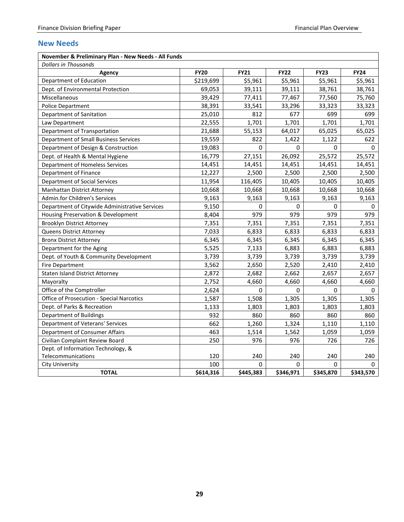## <span id="page-30-0"></span>**New Needs**

| <b>Dollars in Thousands</b>                    |             |             |             |             |              |  |  |  |
|------------------------------------------------|-------------|-------------|-------------|-------------|--------------|--|--|--|
| Agency                                         | <b>FY20</b> | <b>FY21</b> | <b>FY22</b> | <b>FY23</b> | <b>FY24</b>  |  |  |  |
| Department of Education                        | \$219,699   | \$5,961     | \$5,961     | \$5,961     | \$5,961      |  |  |  |
| Dept. of Environmental Protection              | 69,053      | 39,111      | 39,111      | 38,761      | 38,761       |  |  |  |
| Miscellaneous                                  | 39,429      | 77,411      | 77,467      | 77,560      | 75,760       |  |  |  |
| <b>Police Department</b>                       | 38,391      | 33,541      | 33,296      | 33,323      | 33,323       |  |  |  |
| Department of Sanitation                       | 25,010      | 812         | 677         | 699         | 699          |  |  |  |
| Law Department                                 | 22,555      | 1,701       | 1,701       | 1,701       | 1,701        |  |  |  |
| Department of Transportation                   | 21,688      | 55,153      | 64,017      | 65,025      | 65,025       |  |  |  |
| Department of Small Business Services          | 19,559      | 822         | 1,422       | 1,122       | 622          |  |  |  |
| Department of Design & Construction            | 19,083      | 0           | 0           | 0           | $\mathbf{0}$ |  |  |  |
| Dept. of Health & Mental Hygiene               | 16,779      | 27,151      | 26,092      | 25,572      | 25,572       |  |  |  |
| Department of Homeless Services                | 14,451      | 14,451      | 14,451      | 14,451      | 14,451       |  |  |  |
| Department of Finance                          | 12,227      | 2,500       | 2,500       | 2,500       | 2,500        |  |  |  |
| <b>Department of Social Services</b>           | 11,954      | 116,405     | 10,405      | 10,405      | 10,405       |  |  |  |
| Manhattan District Attorney                    | 10,668      | 10,668      | 10,668      | 10,668      | 10,668       |  |  |  |
| Admin.for Children's Services                  | 9,163       | 9,163       | 9,163       | 9,163       | 9,163        |  |  |  |
| Department of Citywide Administrative Services | 9,150       | 0           | 0           | 0           | 0            |  |  |  |
| Housing Preservation & Development             | 8,404       | 979         | 979         | 979         | 979          |  |  |  |
| <b>Brooklyn District Attorney</b>              | 7,351       | 7,351       | 7,351       | 7,351       | 7,351        |  |  |  |
| Queens District Attorney                       | 7,033       | 6,833       | 6,833       | 6,833       | 6,833        |  |  |  |
| <b>Bronx District Attorney</b>                 | 6,345       | 6,345       | 6,345       | 6,345       | 6,345        |  |  |  |
| Department for the Aging                       | 5,525       | 7,133       | 6,883       | 6,883       | 6,883        |  |  |  |
| Dept. of Youth & Community Development         | 3,739       | 3,739       | 3,739       | 3,739       | 3,739        |  |  |  |
| Fire Department                                | 3,562       | 2,650       | 2,520       | 2,410       | 2,410        |  |  |  |
| <b>Staten Island District Attorney</b>         | 2,872       | 2,682       | 2,662       | 2,657       | 2,657        |  |  |  |
| Mayoralty                                      | 2,752       | 4,660       | 4,660       | 4,660       | 4,660        |  |  |  |
| Office of the Comptroller                      | 2,624       | 0           | 0           | 0           | 0            |  |  |  |
| Office of Prosecution - Special Narcotics      | 1,587       | 1,508       | 1,305       | 1,305       | 1,305        |  |  |  |
| Dept. of Parks & Recreation                    | 1,133       | 1,803       | 1,803       | 1,803       | 1,803        |  |  |  |
| Department of Buildings                        | 932         | 860         | 860         | 860         | 860          |  |  |  |
| Department of Veterans' Services               | 662         | 1,260       | 1,324       | 1,110       | 1,110        |  |  |  |
| Department of Consumer Affairs                 | 463         | 1,514       | 1,562       | 1,059       | 1,059        |  |  |  |
| Civilian Complaint Review Board                | 250         | 976         | 976         | 726         | 726          |  |  |  |
| Dept. of Information Technology, &             |             |             |             |             |              |  |  |  |
| Telecommunications                             | 120         | 240         | 240         | 240         | 240          |  |  |  |
| <b>City University</b>                         | 100         | 0           | 0           | 0           | 0            |  |  |  |
| <b>TOTAL</b>                                   | \$614,316   | \$445,383   | \$346,971   | \$345,870   | \$343,570    |  |  |  |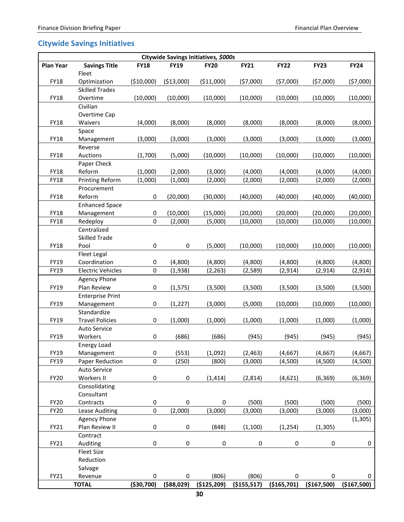# <span id="page-31-0"></span>**Citywide Savings Initiatives**

| Citywide Savings Initiatives, \$000s |                                                 |              |             |             |               |               |             |             |  |
|--------------------------------------|-------------------------------------------------|--------------|-------------|-------------|---------------|---------------|-------------|-------------|--|
| <b>Plan Year</b>                     | <b>Savings Title</b><br>Fleet                   | <b>FY18</b>  | <b>FY19</b> | <b>FY20</b> | <b>FY21</b>   | <b>FY22</b>   | <b>FY23</b> | <b>FY24</b> |  |
| FY18                                 | Optimization<br><b>Skilled Trades</b>           | (\$10,000)   | ( \$13,000) | ( \$11,000) | (57,000)      | (57,000)      | (57,000)    | (57,000)    |  |
| <b>FY18</b>                          | Overtime                                        | (10,000)     | (10,000)    | (10,000)    | (10,000)      | (10,000)      | (10,000)    | (10,000)    |  |
|                                      | Civilian                                        |              |             |             |               |               |             |             |  |
| FY18                                 | Overtime Cap<br>Waivers                         | (4,000)      | (8,000)     | (8,000)     | (8,000)       | (8,000)       | (8,000)     | (8,000)     |  |
|                                      | Space                                           |              |             |             |               |               |             |             |  |
| FY18                                 | Management                                      | (3,000)      | (3,000)     | (3,000)     | (3,000)       | (3,000)       | (3,000)     | (3,000)     |  |
|                                      | Reverse                                         |              |             |             |               |               |             |             |  |
| <b>FY18</b>                          | Auctions                                        | (1,700)      | (5,000)     | (10,000)    | (10,000)      | (10,000)      | (10,000)    | (10,000)    |  |
|                                      | Paper Check                                     |              |             |             |               |               |             |             |  |
| FY18                                 | Reform                                          | (1,000)      | (2,000)     | (3,000)     | (4,000)       | (4,000)       | (4,000)     | (4,000)     |  |
| <b>FY18</b>                          | Printing Reform                                 | (1,000)      | (1,000)     | (2,000)     | (2,000)       | (2,000)       | (2,000)     | (2,000)     |  |
| <b>FY18</b>                          | Procurement<br>Reform                           | 0            | (20,000)    | (30,000)    | (40,000)      | (40,000)      | (40,000)    | (40,000)    |  |
|                                      | <b>Enhanced Space</b>                           |              |             |             |               |               |             |             |  |
| FY18                                 | Management                                      | 0            | (10,000)    | (15,000)    | (20,000)      | (20,000)      | (20,000)    | (20,000)    |  |
| <b>FY18</b>                          | Redeploy                                        | $\pmb{0}$    | (2,000)     | (5,000)     | (10,000)      | (10,000)      | (10,000)    | (10,000)    |  |
|                                      | Centralized                                     |              |             |             |               |               |             |             |  |
|                                      | <b>Skilled Trade</b>                            |              |             |             |               |               |             |             |  |
| <b>FY18</b>                          | Pool                                            | 0            | 0           | (5,000)     | (10,000)      | (10,000)      | (10,000)    | (10,000)    |  |
|                                      | Fleet Legal                                     |              |             |             |               |               |             |             |  |
| FY19                                 | Coordination                                    | 0<br>0       | (4,800)     | (4,800)     | (4,800)       | (4,800)       | (4,800)     | (4,800)     |  |
| FY19                                 | <b>Electric Vehicles</b><br><b>Agency Phone</b> |              | (1,938)     | (2, 263)    | (2,589)       | (2, 914)      | (2, 914)    | (2, 914)    |  |
| FY19                                 | Plan Review                                     | 0            | (1, 575)    | (3,500)     | (3,500)       | (3,500)       | (3,500)     | (3,500)     |  |
|                                      | <b>Enterprise Print</b>                         |              |             |             |               |               |             |             |  |
| FY19                                 | Management                                      | 0            | (1, 227)    | (3,000)     | (5,000)       | (10,000)      | (10,000)    | (10,000)    |  |
|                                      | Standardize                                     |              |             |             |               |               |             |             |  |
| FY19                                 | <b>Travel Policies</b>                          | 0            | (1,000)     | (1,000)     | (1,000)       | (1,000)       | (1,000)     | (1,000)     |  |
|                                      | Auto Service                                    |              |             |             |               |               |             |             |  |
| FY19                                 | Workers                                         | 0            | (686)       | (686)       | (945)         | (945)         | (945)       | (945)       |  |
| FY19                                 | <b>Energy Load</b><br>Management                | 0            | (553)       | (1,092)     | (2, 463)      | (4, 667)      | (4, 667)    | (4,667)     |  |
| FY19                                 | Paper Reduction                                 | 0            | (250)       | (800)       | (3,000)       | (4,500)       | (4,500)     | (4,500)     |  |
|                                      | Auto Service                                    |              |             |             |               |               |             |             |  |
| <b>FY20</b>                          | Workers II                                      | 0            | 0           | (1, 414)    | (2,814)       | (4,621)       | (6, 369)    | (6, 369)    |  |
|                                      | Consolidating                                   |              |             |             |               |               |             |             |  |
|                                      | Consultant                                      |              |             |             |               |               |             |             |  |
| <b>FY20</b>                          | Contracts                                       | 0            | $\pmb{0}$   | $\pmb{0}$   | (500)         | (500)         | (500)       | (500)       |  |
| <b>FY20</b>                          | Lease Auditing                                  | $\pmb{0}$    | (2,000)     | (3,000)     | (3,000)       | (3,000)       | (3,000)     | (3,000)     |  |
|                                      | <b>Agency Phone</b>                             |              |             |             |               |               |             | (1, 305)    |  |
| FY21                                 | Plan Review II                                  | 0            | 0           | (848)       | (1, 100)      | (1, 254)      | (1, 305)    |             |  |
|                                      | Contract                                        |              |             |             |               |               |             |             |  |
| FY21                                 | Auditing<br>Fleet Size                          | 0            | $\pmb{0}$   | 0           | $\pmb{0}$     | $\pmb{0}$     | $\pmb{0}$   | 0           |  |
|                                      | Reduction                                       |              |             |             |               |               |             |             |  |
|                                      | Salvage                                         |              |             |             |               |               |             |             |  |
| FY21                                 | Revenue                                         | 0            | 0           | (806)       | (806)         | 0             | 0           | 0           |  |
|                                      | <b>TOTAL</b>                                    | ( \$30, 700) | ( \$88,029) | (\$125,209) | ( \$155, 517) | ( \$165, 701) | (\$167,500) | (\$167,500) |  |